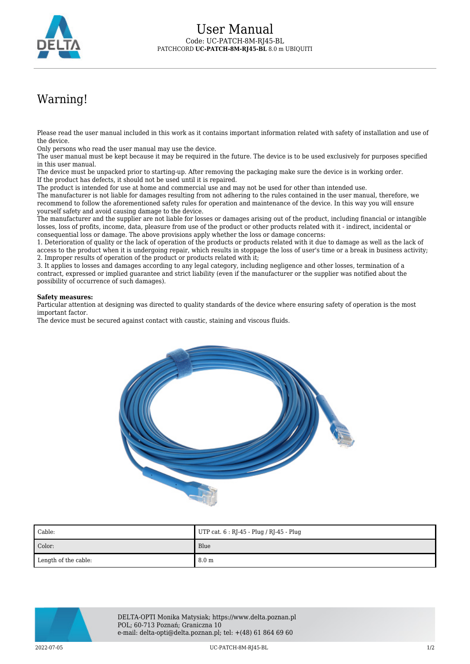

## Warning!

Please read the user manual included in this work as it contains important information related with safety of installation and use of the device.

Only persons who read the user manual may use the device.

The user manual must be kept because it may be required in the future. The device is to be used exclusively for purposes specified in this user manual.

The device must be unpacked prior to starting-up. After removing the packaging make sure the device is in working order. If the product has defects, it should not be used until it is repaired.

The product is intended for use at home and commercial use and may not be used for other than intended use.

The manufacturer is not liable for damages resulting from not adhering to the rules contained in the user manual, therefore, we recommend to follow the aforementioned safety rules for operation and maintenance of the device. In this way you will ensure yourself safety and avoid causing damage to the device.

The manufacturer and the supplier are not liable for losses or damages arising out of the product, including financial or intangible losses, loss of profits, income, data, pleasure from use of the product or other products related with it - indirect, incidental or consequential loss or damage. The above provisions apply whether the loss or damage concerns:

1. Deterioration of quality or the lack of operation of the products or products related with it due to damage as well as the lack of access to the product when it is undergoing repair, which results in stoppage the loss of user's time or a break in business activity; 2. Improper results of operation of the product or products related with it;

3. It applies to losses and damages according to any legal category, including negligence and other losses, termination of a contract, expressed or implied guarantee and strict liability (even if the manufacturer or the supplier was notified about the possibility of occurrence of such damages).

## **Safety measures:**

Particular attention at designing was directed to quality standards of the device where ensuring safety of operation is the most important factor.

The device must be secured against contact with caustic, staining and viscous fluids.



| Cable:               | UTP cat. $6:$ RJ-45 - Plug / RJ-45 - Plug |
|----------------------|-------------------------------------------|
| Color:               | Blue                                      |
| Length of the cable: | 8.0 <sub>m</sub>                          |



DELTA-OPTI Monika Matysiak; https://www.delta.poznan.pl POL; 60-713 Poznań; Graniczna 10 e-mail: delta-opti@delta.poznan.pl; tel: +(48) 61 864 69 60